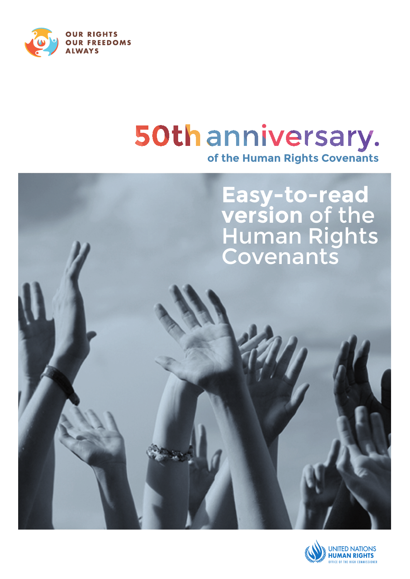

# 50th anniversary. **of the Human Rights Covenants**

**Easy-to-read version** of the Human Rights Covenants

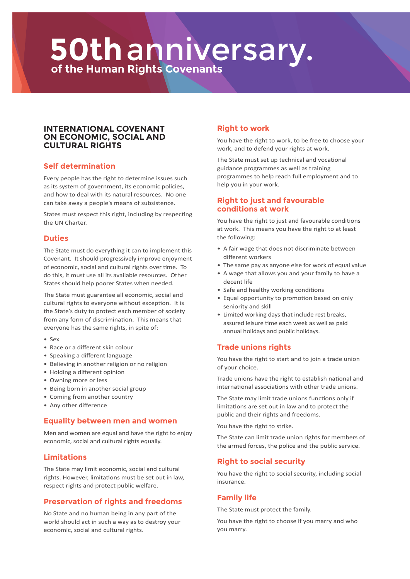# **of the Human Rights Covenants 50th**anniversary.

#### **International Covenant on Economic, Social and Cultural Rights**

# **Self determination**

Every people has the right to determine issues such as its system of government, its economic policies, and how to deal with its natural resources. No one can take away a people's means of subsistence.

States must respect this right, including by respecting the UN Charter.

#### **Duties**

The State must do everything it can to implement this Covenant. It should progressively improve enjoyment of economic, social and cultural rights over time. To do this, it must use all its available resources. Other States should help poorer States when needed.

The State must guarantee all economic, social and cultural rights to everyone without exception. It is the State's duty to protect each member of society from any form of discrimination. This means that everyone has the same rights, in spite of:

- Sex
- Race or a different skin colour
- Speaking a different language
- Believing in another religion or no religion
- Holding a different opinion
- Owning more or less
- Being born in another social group
- Coming from another country
- Any other difference

#### **Equality between men and women**

Men and women are equal and have the right to enjoy economic, social and cultural rights equally.

# **Limitations**

The State may limit economic, social and cultural rights. However, limitations must be set out in law, respect rights and protect public welfare.

# **Preservation of rights and freedoms**

No State and no human being in any part of the world should act in such a way as to destroy your economic, social and cultural rights.

# **Right to work**

You have the right to work, to be free to choose your work, and to defend your rights at work.

The State must set up technical and vocational guidance programmes as well as training programmes to help reach full employment and to help you in your work.

# **Right to just and favourable conditions at work**

You have the right to just and favourable conditions at work. This means you have the right to at least the following:

- A fair wage that does not discriminate between different workers
- The same pay as anyone else for work of equal value
- A wage that allows you and your family to have a decent life
- Safe and healthy working conditions
- Equal opportunity to promotion based on only seniority and skill
- Limited working days that include rest breaks, assured leisure time each week as well as paid annual holidays and public holidays.

# **Trade unions rights**

You have the right to start and to join a trade union of your choice.

Trade unions have the right to establish national and international associations with other trade unions.

The State may limit trade unions functions only if limitations are set out in law and to protect the public and their rights and freedoms.

You have the right to strike.

The State can limit trade union rights for members of the armed forces, the police and the public service.

# **Right to social security**

You have the right to social security, including social insurance.

# **Family life**

The State must protect the family.

You have the right to choose if you marry and who you marry.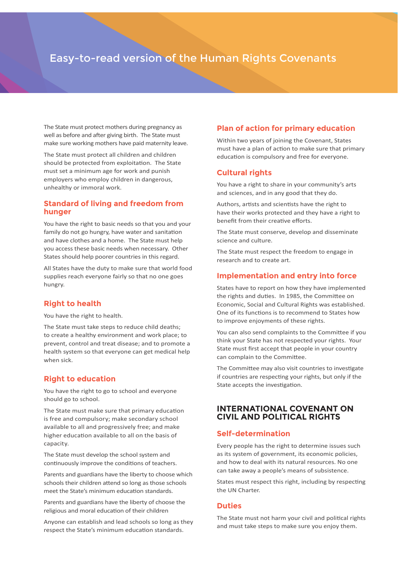# Easy-to-read version of the Human Rights Covenants

The State must protect mothers during pregnancy as well as before and after giving birth. The State must make sure working mothers have paid maternity leave.

The State must protect all children and children should be protected from exploitation. The State must set a minimum age for work and punish employers who employ children in dangerous, unhealthy or immoral work.

#### **Standard of living and freedom from hunger**

You have the right to basic needs so that you and your family do not go hungry, have water and sanitation and have clothes and a home. The State must help you access these basic needs when necessary. Other States should help poorer countries in this regard.

All States have the duty to make sure that world food supplies reach everyone fairly so that no one goes hungry.

# **Right to health**

You have the right to health.

The State must take steps to reduce child deaths; to create a healthy environment and work place; to prevent, control and treat disease; and to promote a health system so that everyone can get medical help when sick.

# **Right to education**

You have the right to go to school and everyone should go to school.

The State must make sure that primary education is free and compulsory; make secondary school available to all and progressively free; and make higher education available to all on the basis of capacity.

The State must develop the school system and continuously improve the conditions of teachers.

Parents and guardians have the liberty to choose which schools their children attend so long as those schools meet the State's minimum education standards.

Parents and guardians have the liberty of choose the religious and moral education of their children

Anyone can establish and lead schools so long as they respect the State's minimum education standards.

# **Plan of action for primary education**

Within two years of joining the Covenant, States must have a plan of action to make sure that primary education is compulsory and free for everyone.

# **Cultural rights**

You have a right to share in your community's arts and sciences, and in any good that they do.

Authors, artists and scientists have the right to have their works protected and they have a right to benefit from their creative efforts.

The State must conserve, develop and disseminate science and culture.

The State must respect the freedom to engage in research and to create art.

# **Implementation and entry into force**

States have to report on how they have implemented the rights and duties. In 1985, the Committee on Economic, Social and Cultural Rights was established. One of its functions is to recommend to States how to improve enjoyments of these rights.

You can also send complaints to the Committee if you think your State has not respected your rights. Your State must first accept that people in your country can complain to the Committee.

The Committee may also visit countries to investigate if countries are respecting your rights, but only if the State accepts the investigation.

# **International Covenant on Civil and Political Rights**

# **Self-determination**

Every people has the right to determine issues such as its system of government, its economic policies, and how to deal with its natural resources. No one can take away a people's means of subsistence.

States must respect this right, including by respecting the UN Charter.

# **Duties**

The State must not harm your civil and political rights and must take steps to make sure you enjoy them.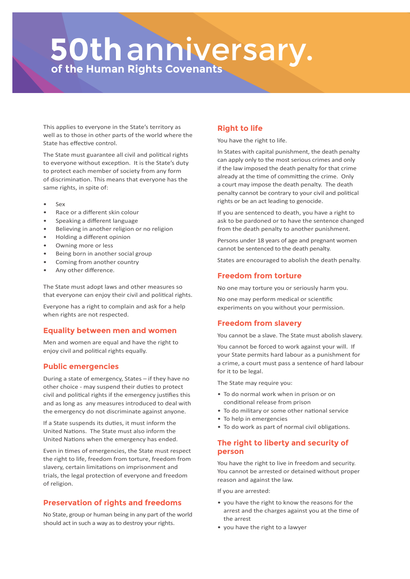# **of the Human Rights Covenants 50th**anniversary.

This applies to everyone in the State's territory as well as to those in other parts of the world where the State has effective control.

The State must guarantee all civil and political rights to everyone without exception. It is the State's duty to protect each member of society from any form of discrimination. This means that everyone has the same rights, in spite of:

- Sex
- Race or a different skin colour
- Speaking a different language
- Believing in another religion or no religion
- Holding a different opinion
- Owning more or less
- Being born in another social group
- Coming from another country
- Any other difference.

The State must adopt laws and other measures so that everyone can enjoy their civil and political rights.

Everyone has a right to complain and ask for a help when rights are not respected.

# **Equality between men and women**

Men and women are equal and have the right to enjoy civil and political rights equally.

# **Public emergencies**

During a state of emergency, States – if they have no other choice - may suspend their duties to protect civil and political rights if the emergency justifies this and as long as any measures introduced to deal with the emergency do not discriminate against anyone.

If a State suspends its duties, it must inform the United Nations. The State must also inform the United Nations when the emergency has ended.

Even in times of emergencies, the State must respect the right to life, freedom from torture, freedom from slavery, certain limitations on imprisonment and trials, the legal protection of everyone and freedom of religion.

# **Preservation of rights and freedoms**

No State, group or human being in any part of the world should act in such a way as to destroy your rights.

#### **Right to life**

You have the right to life.

In States with capital punishment, the death penalty can apply only to the most serious crimes and only if the law imposed the death penalty for that crime already at the time of committing the crime. Only a court may impose the death penalty. The death penalty cannot be contrary to your civil and political rights or be an act leading to genocide.

If you are sentenced to death, you have a right to ask to be pardoned or to have the sentence changed from the death penalty to another punishment.

Persons under 18 years of age and pregnant women cannot be sentenced to the death penalty.

States are encouraged to abolish the death penalty.

# **Freedom from torture**

No one may torture you or seriously harm you.

No one may perform medical or scientific experiments on you without your permission.

# **Freedom from slavery**

You cannot be a slave. The State must abolish slavery.

You cannot be forced to work against your will. If your State permits hard labour as a punishment for a crime, a court must pass a sentence of hard labour for it to be legal.

The State may require you:

- To do normal work when in prison or on conditional release from prison
- To do military or some other national service
- To help in emergencies
- To do work as part of normal civil obligations.

# **The right to liberty and security of person**

You have the right to live in freedom and security. You cannot be arrested or detained without proper reason and against the law.

If you are arrested:

- you have the right to know the reasons for the arrest and the charges against you at the time of the arrest
- you have the right to a lawyer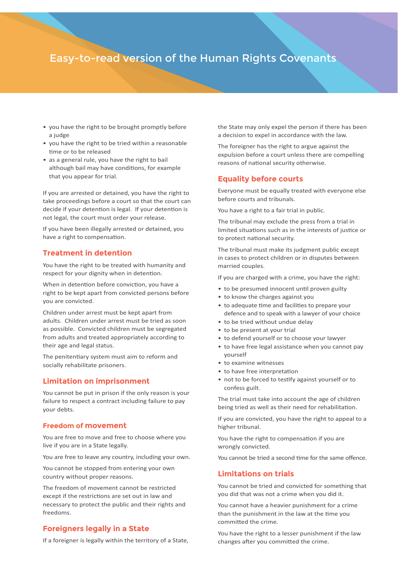# Easy-to-read version of the Human Rights Covenants

- you have the right to be brought promptly before a judge
- you have the right to be tried within a reasonable time or to be released
- as a general rule, you have the right to bail although bail may have conditions, for example that you appear for trial.

If you are arrested or detained, you have the right to take proceedings before a court so that the court can decide if your detention is legal. If your detention is not legal, the court must order your release.

If you have been illegally arrested or detained, you have a right to compensation.

#### **Treatment in detention**

You have the right to be treated with humanity and respect for your dignity when in detention.

When in detention before conviction, you have a right to be kept apart from convicted persons before you are convicted.

Children under arrest must be kept apart from adults. Children under arrest must be tried as soon as possible. Convicted children must be segregated from adults and treated appropriately according to their age and legal status.

The penitentiary system must aim to reform and socially rehabilitate prisoners.

#### **Limitation on imprisonment**

You cannot be put in prison if the only reason is your failure to respect a contract including failure to pay your debts.

#### **Freedom of movement**

You are free to move and free to choose where you live if you are in a State legally.

You are free to leave any country, including your own.

You cannot be stopped from entering your own country without proper reasons.

The freedom of movement cannot be restricted except if the restrictions are set out in law and necessary to protect the public and their rights and freedoms.

#### **Foreigners legally in a State**

If a foreigner is legally within the territory of a State,

the State may only expel the person if there has been a decision to expel in accordance with the law.

The foreigner has the right to argue against the expulsion before a court unless there are compelling reasons of national security otherwise.

#### **Equality before courts**

Everyone must be equally treated with everyone else before courts and tribunals.

You have a right to a fair trial in public.

The tribunal may exclude the press from a trial in limited situations such as in the interests of justice or to protect national security.

The tribunal must make its judgment public except in cases to protect children or in disputes between married couples.

If you are charged with a crime, you have the right:

- to be presumed innocent until proven guilty
- to know the charges against you
- to adequate time and facilities to prepare your defence and to speak with a lawyer of your choice
- to be tried without undue delay
- to be present at your trial
- to defend yourself or to choose your lawyer
- to have free legal assistance when you cannot pay yourself
- to examine witnesses
- to have free interpretation
- not to be forced to testify against yourself or to confess guilt.

The trial must take into account the age of children being tried as well as their need for rehabilitation.

If you are convicted, you have the right to appeal to a higher tribunal.

You have the right to compensation if you are wrongly convicted.

You cannot be tried a second time for the same offence.

#### **Limitations on trials**

You cannot be tried and convicted for something that you did that was not a crime when you did it.

You cannot have a heavier punishment for a crime than the punishment in the law at the time you committed the crime.

You have the right to a lesser punishment if the law changes after you committed the crime.